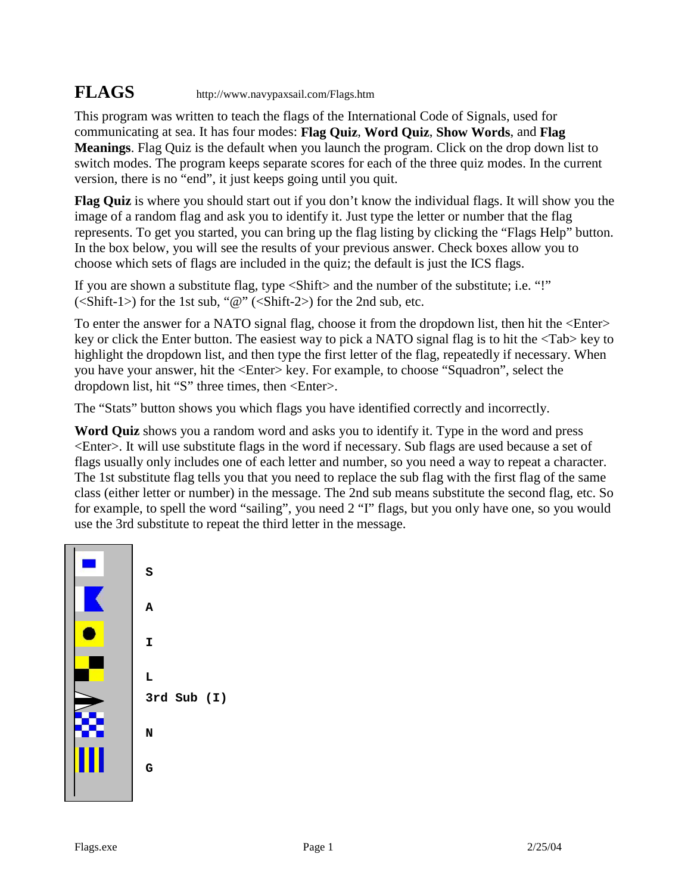## **FLAGS** http://www.navypaxsail.com/Flags.htm

This program was written to teach the flags of the International Code of Signals, used for communicating at sea. It has four modes: **Flag Quiz**, **Word Quiz**, **Show Words**, and **Flag Meanings**. Flag Quiz is the default when you launch the program. Click on the drop down list to switch modes. The program keeps separate scores for each of the three quiz modes. In the current version, there is no "end", it just keeps going until you quit.

**Flag Quiz** is where you should start out if you don't know the individual flags. It will show you the image of a random flag and ask you to identify it. Just type the letter or number that the flag represents. To get you started, you can bring up the flag listing by clicking the "Flags Help" button. In the box below, you will see the results of your previous answer. Check boxes allow you to choose which sets of flags are included in the quiz; the default is just the ICS flags.

If you are shown a substitute flag, type <Shift> and the number of the substitute; i.e. "!"  $\langle$  <Shift-1>) for the 1st sub, " $\mathcal{Q}$ " (<Shift-2>) for the 2nd sub, etc.

To enter the answer for a NATO signal flag, choose it from the dropdown list, then hit the <Enter> key or click the Enter button. The easiest way to pick a NATO signal flag is to hit the <Tab> key to highlight the dropdown list, and then type the first letter of the flag, repeatedly if necessary. When you have your answer, hit the <Enter> key. For example, to choose "Squadron", select the dropdown list, hit "S" three times, then <Enter>.

The "Stats" button shows you which flags you have identified correctly and incorrectly.

**Word Quiz** shows you a random word and asks you to identify it. Type in the word and press <Enter>. It will use substitute flags in the word if necessary. Sub flags are used because a set of flags usually only includes one of each letter and number, so you need a way to repeat a character. The 1st substitute flag tells you that you need to replace the sub flag with the first flag of the same class (either letter or number) in the message. The 2nd sub means substitute the second flag, etc. So for example, to spell the word "sailing", you need 2 "I" flags, but you only have one, so you would use the 3rd substitute to repeat the third letter in the message.



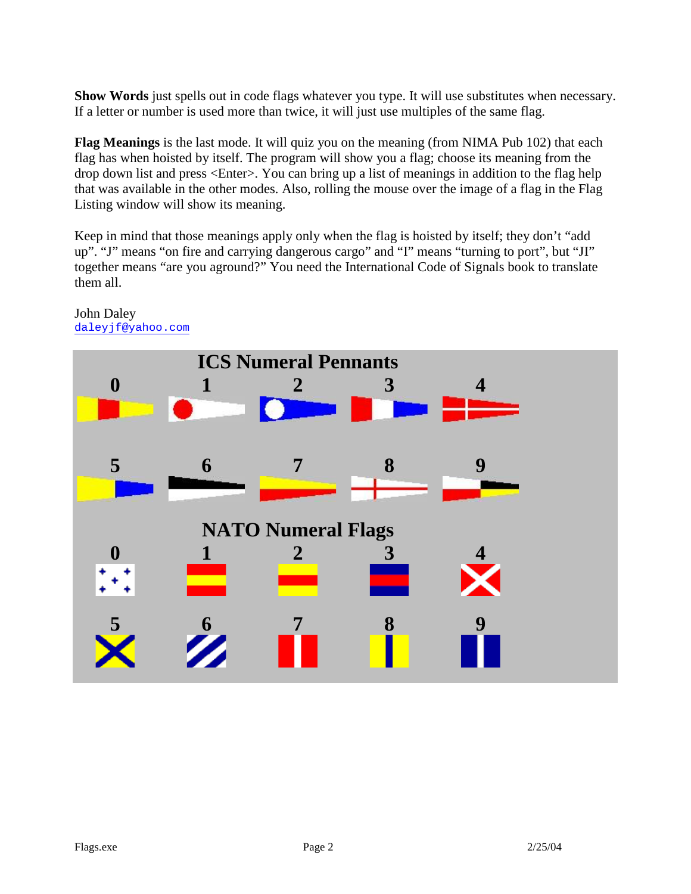**Show Words** just spells out in code flags whatever you type. It will use substitutes when necessary. If a letter or number is used more than twice, it will just use multiples of the same flag.

**Flag Meanings** is the last mode. It will quiz you on the meaning (from NIMA Pub 102) that each flag has when hoisted by itself. The program will show you a flag; choose its meaning from the drop down list and press <Enter>. You can bring up a list of meanings in addition to the flag help that was available in the other modes. Also, rolling the mouse over the image of a flag in the Flag Listing window will show its meaning.

Keep in mind that those meanings apply only when the flag is hoisted by itself; they don't "add up". "J" means "on fire and carrying dangerous cargo" and "I" means "turning to port", but "JI" together means "are you aground?" You need the International Code of Signals book to translate them all.



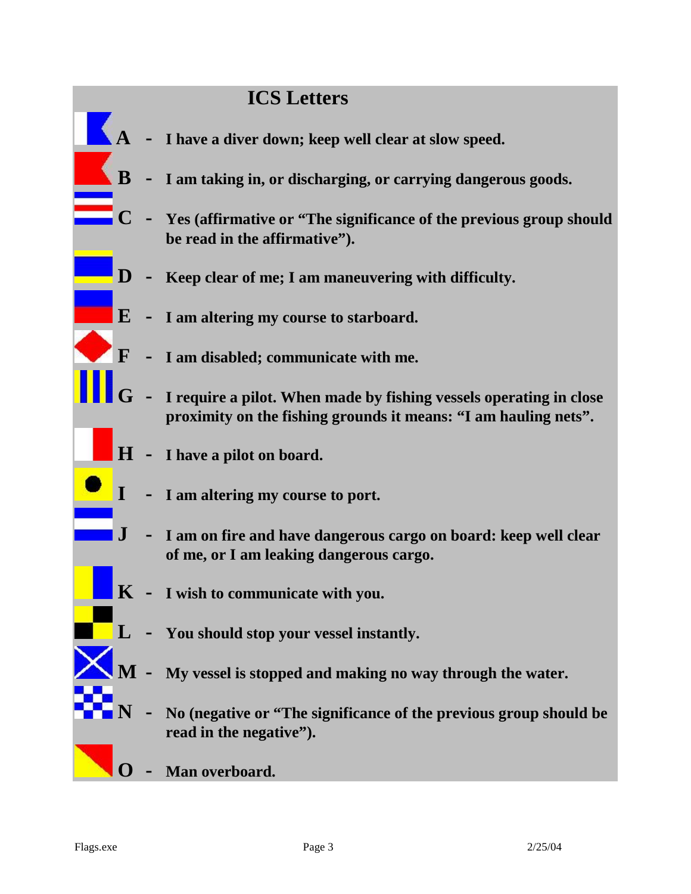## **ICS Letters**

- **A - I have a diver down; keep well clear at slow speed.**
- **B - I am taking in, or discharging, or carrying dangerous goods.**
	- **C - Yes (affirmative or "The significance of the previous group should be read in the affirmative").**
- **D - Keep clear of me; I am maneuvering with difficulty.**
- **E - I am altering my course to starboard.**
	- **F - I am disabled; communicate with me.**
	- **G - I require a pilot. When made by fishing vessels operating in close proximity on the fishing grounds it means: "I am hauling nets".**
- **H - I have a pilot on board.**
	- **I - I am altering my course to port.**
- **J - I am on fire and have dangerous cargo on board: keep well clear of me, or I am leaking dangerous cargo.**
- **K - I wish to communicate with you.**
- **L - You should stop your vessel instantly.**
	- **M - My vessel is stopped and making no way through the water.**
- **N - No (negative or "The significance of the previous group should be read in the negative").**
- **O - Man overboard.**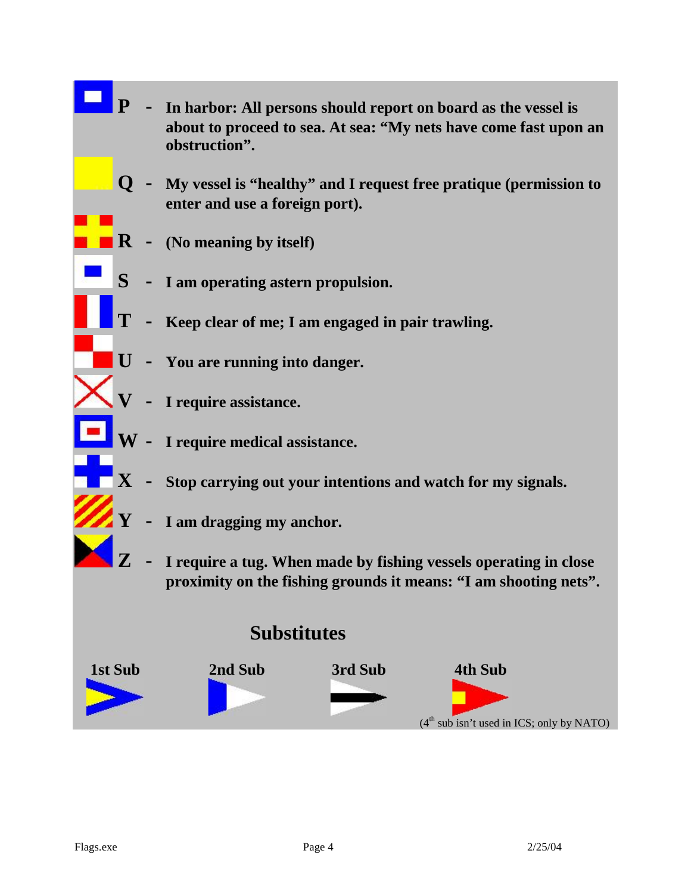